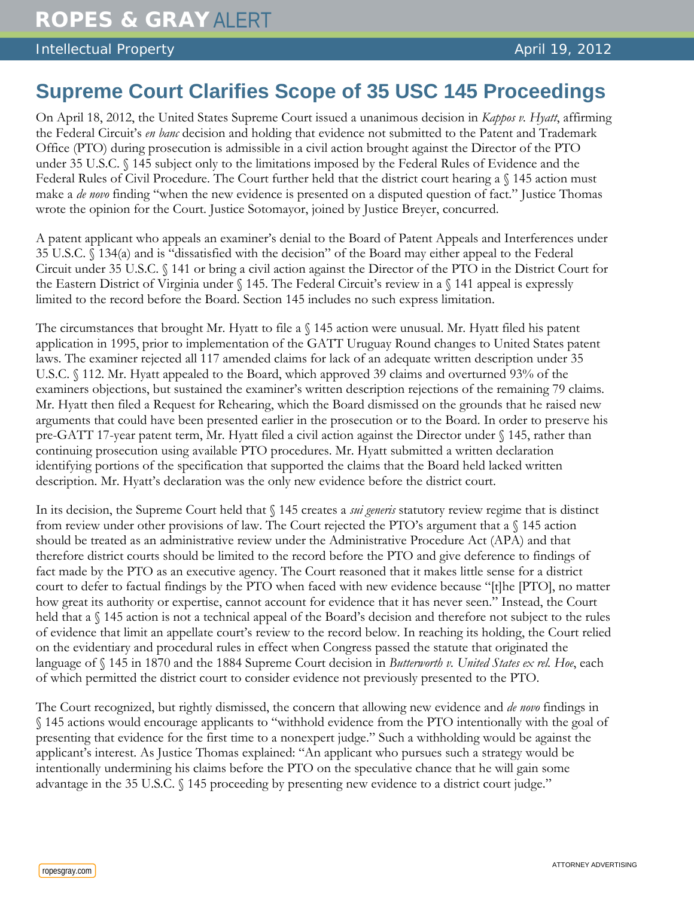Intellectual Property **April 19, 2012 April 19, 2012** 

## **Supreme Court Clarifies Scope of 35 USC 145 Proceedings**

On April 18, 2012, the United States Supreme Court issued a unanimous decision in *Kappos v. Hyatt*, affirming the Federal Circuit's *en banc* decision and holding that evidence not submitted to the Patent and Trademark Office (PTO) during prosecution is admissible in a civil action brought against the Director of the PTO under 35 U.S.C. § 145 subject only to the limitations imposed by the Federal Rules of Evidence and the Federal Rules of Civil Procedure. The Court further held that the district court hearing a § 145 action must make a *de novo* finding "when the new evidence is presented on a disputed question of fact." Justice Thomas wrote the opinion for the Court. Justice Sotomayor, joined by Justice Breyer, concurred.

A patent applicant who appeals an examiner's denial to the Board of Patent Appeals and Interferences under 35 U.S.C. § 134(a) and is "dissatisfied with the decision" of the Board may either appeal to the Federal Circuit under 35 U.S.C. § 141 or bring a civil action against the Director of the PTO in the District Court for the Eastern District of Virginia under § 145. The Federal Circuit's review in a § 141 appeal is expressly limited to the record before the Board. Section 145 includes no such express limitation.

The circumstances that brought Mr. Hyatt to file a § 145 action were unusual. Mr. Hyatt filed his patent application in 1995, prior to implementation of the GATT Uruguay Round changes to United States patent laws. The examiner rejected all 117 amended claims for lack of an adequate written description under 35 U.S.C. § 112. Mr. Hyatt appealed to the Board, which approved 39 claims and overturned 93% of the examiners objections, but sustained the examiner's written description rejections of the remaining 79 claims. Mr. Hyatt then filed a Request for Rehearing, which the Board dismissed on the grounds that he raised new arguments that could have been presented earlier in the prosecution or to the Board. In order to preserve his pre-GATT 17-year patent term, Mr. Hyatt filed a civil action against the Director under § 145, rather than continuing prosecution using available PTO procedures. Mr. Hyatt submitted a written declaration identifying portions of the specification that supported the claims that the Board held lacked written description. Mr. Hyatt's declaration was the only new evidence before the district court.

In its decision, the Supreme Court held that § 145 creates a *sui generis* statutory review regime that is distinct from review under other provisions of law. The Court rejected the PTO's argument that a § 145 action should be treated as an administrative review under the Administrative Procedure Act (APA) and that therefore district courts should be limited to the record before the PTO and give deference to findings of fact made by the PTO as an executive agency. The Court reasoned that it makes little sense for a district court to defer to factual findings by the PTO when faced with new evidence because "[t]he [PTO], no matter how great its authority or expertise, cannot account for evidence that it has never seen." Instead, the Court held that a  $\S$  145 action is not a technical appeal of the Board's decision and therefore not subject to the rules of evidence that limit an appellate court's review to the record below. In reaching its holding, the Court relied on the evidentiary and procedural rules in effect when Congress passed the statute that originated the language of § 145 in 1870 and the 1884 Supreme Court decision in *Butterworth v. United States ex rel. Hoe*, each of which permitted the district court to consider evidence not previously presented to the PTO.

The Court recognized, but rightly dismissed, the concern that allowing new evidence and *de novo* findings in § 145 actions would encourage applicants to "withhold evidence from the PTO intentionally with the goal of presenting that evidence for the first time to a nonexpert judge." Such a withholding would be against the applicant's interest. As Justice Thomas explained: "An applicant who pursues such a strategy would be intentionally undermining his claims before the PTO on the speculative chance that he will gain some advantage in the 35 U.S.C. § 145 proceeding by presenting new evidence to a district court judge."